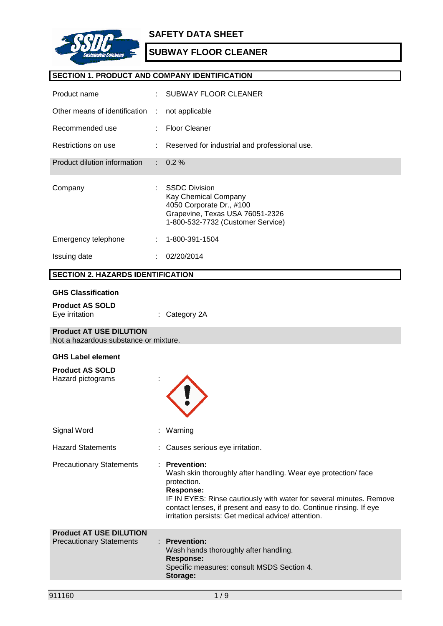

## **SECTION 1. PRODUCT AND COMPANY IDENTIFICATION**

| Product name                                                            |   | <b>SUBWAY FLOOR CLEANER</b>                                                                                                                                                                                                                                                                                           |
|-------------------------------------------------------------------------|---|-----------------------------------------------------------------------------------------------------------------------------------------------------------------------------------------------------------------------------------------------------------------------------------------------------------------------|
| Other means of identification                                           | ÷ | not applicable                                                                                                                                                                                                                                                                                                        |
| Recommended use                                                         |   | <b>Floor Cleaner</b>                                                                                                                                                                                                                                                                                                  |
| Restrictions on use                                                     |   | Reserved for industrial and professional use.                                                                                                                                                                                                                                                                         |
| Product dilution information                                            |   | 0.2%                                                                                                                                                                                                                                                                                                                  |
| Company                                                                 |   | <b>SSDC Division</b><br>Kay Chemical Company<br>4050 Corporate Dr., #100<br>Grapevine, Texas USA 76051-2326<br>1-800-532-7732 (Customer Service)                                                                                                                                                                      |
| Emergency telephone                                                     |   | 1-800-391-1504                                                                                                                                                                                                                                                                                                        |
| Issuing date                                                            |   | 02/20/2014                                                                                                                                                                                                                                                                                                            |
| <b>SECTION 2. HAZARDS IDENTIFICATION</b>                                |   |                                                                                                                                                                                                                                                                                                                       |
| <b>GHS Classification</b>                                               |   |                                                                                                                                                                                                                                                                                                                       |
| <b>Product AS SOLD</b><br>Eye irritation                                |   | Category 2A                                                                                                                                                                                                                                                                                                           |
| <b>Product AT USE DILUTION</b><br>Not a hazardous substance or mixture. |   |                                                                                                                                                                                                                                                                                                                       |
| <b>GHS Label element</b>                                                |   |                                                                                                                                                                                                                                                                                                                       |
| <b>Product AS SOLD</b><br>Hazard pictograms                             |   |                                                                                                                                                                                                                                                                                                                       |
| Signal Word                                                             |   | : Warning                                                                                                                                                                                                                                                                                                             |
| <b>Hazard Statements</b>                                                |   | Causes serious eye irritation.                                                                                                                                                                                                                                                                                        |
| <b>Precautionary Statements</b>                                         |   | : Prevention:<br>Wash skin thoroughly after handling. Wear eye protection/face<br>protection.<br><b>Response:</b><br>IF IN EYES: Rinse cautiously with water for several minutes. Remove<br>contact lenses, if present and easy to do. Continue rinsing. If eye<br>irritation persists: Get medical advice/attention. |
| <b>Product AT USE DILUTION</b><br><b>Precautionary Statements</b>       |   | <b>Prevention:</b><br>Wash hands thoroughly after handling.<br>Response:<br>Specific measures: consult MSDS Section 4.<br>Storage:                                                                                                                                                                                    |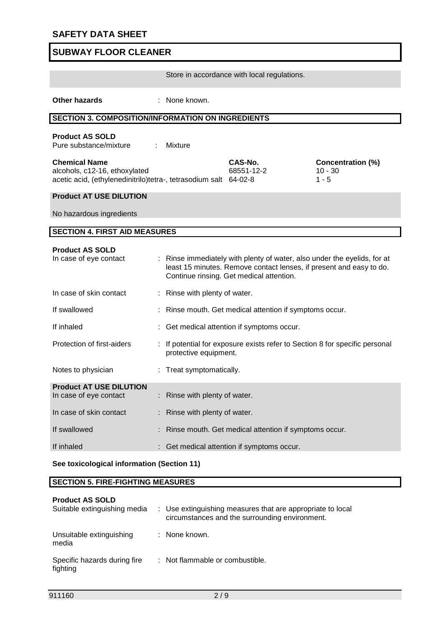Store in accordance with local regulations.

**Other hazards** : None known.

## **SECTION 3. COMPOSITION/INFORMATION ON INGREDIENTS**

### **Product AS SOLD**

Pure substance/mixture : Mixture

| <b>Chemical Name</b>                                             | CAS-No.    | Conce     |
|------------------------------------------------------------------|------------|-----------|
| alcohols, c12-16, ethoxylated                                    | 68551-12-2 | $10 - 30$ |
| acetic acid, (ethylenedinitrilo)tetra-, tetrasodium salt 64-02-8 |            | $1 - 5$   |

**Concentration (%)**<br>10 - 30

### **Product AT USE DILUTION**

No hazardous ingredients

### **SECTION 4. FIRST AID MEASURES**

| <b>Product AS SOLD</b><br>In case of eye contact | : Rinse immediately with plenty of water, also under the eyelids, for at<br>least 15 minutes. Remove contact lenses, if present and easy to do.<br>Continue rinsing. Get medical attention. |
|--------------------------------------------------|---------------------------------------------------------------------------------------------------------------------------------------------------------------------------------------------|
| In case of skin contact                          | : Rinse with plenty of water.                                                                                                                                                               |
| If swallowed                                     | : Rinse mouth. Get medical attention if symptoms occur.                                                                                                                                     |
| If inhaled                                       | : Get medical attention if symptoms occur.                                                                                                                                                  |
| Protection of first-aiders                       | : If potential for exposure exists refer to Section 8 for specific personal<br>protective equipment.                                                                                        |
| Notes to physician                               | : Treat symptomatically.                                                                                                                                                                    |
| <b>Product AT USE DILUTION</b>                   |                                                                                                                                                                                             |
| In case of eye contact                           | : Rinse with plenty of water.                                                                                                                                                               |
| In case of skin contact                          | : Rinse with plenty of water.                                                                                                                                                               |
| If swallowed                                     | : Rinse mouth. Get medical attention if symptoms occur.                                                                                                                                     |
| If inhaled                                       | : Get medical attention if symptoms occur.                                                                                                                                                  |

### **See toxicological information (Section 11)**

## **SECTION 5. FIRE-FIGHTING MEASURES**

| <b>Product AS SOLD</b><br>Suitable extinguishing media | : Use extinguishing measures that are appropriate to local<br>circumstances and the surrounding environment. |
|--------------------------------------------------------|--------------------------------------------------------------------------------------------------------------|
| Unsuitable extinguishing<br>media                      | : None known.                                                                                                |
| Specific hazards during fire<br>fighting               | : Not flammable or combustible.                                                                              |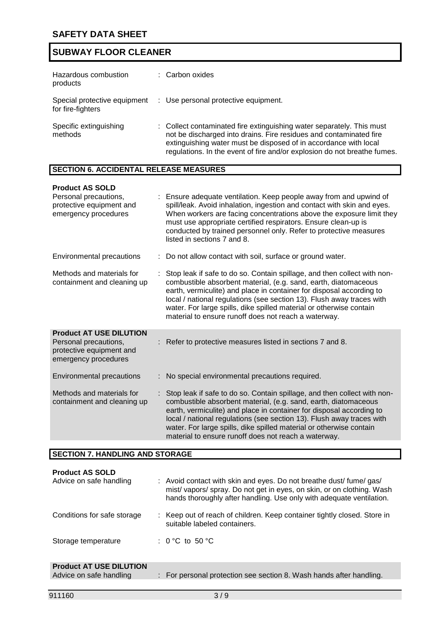| Hazardous combustion<br>products  | : Carbon oxides                                                                                                                                                                                                                                                                             |
|-----------------------------------|---------------------------------------------------------------------------------------------------------------------------------------------------------------------------------------------------------------------------------------------------------------------------------------------|
| for fire-fighters                 | Special protective equipment : Use personal protective equipment.                                                                                                                                                                                                                           |
| Specific extinguishing<br>methods | : Collect contaminated fire extinguishing water separately. This must<br>not be discharged into drains. Fire residues and contaminated fire<br>extinguishing water must be disposed of in accordance with local<br>regulations. In the event of fire and/or explosion do not breathe fumes. |

# **SECTION 6. ACCIDENTAL RELEASE MEASURES**

### **Product AS SOLD**

| Personal precautions,<br>protective equipment and<br>emergency procedures                                   | : Ensure adequate ventilation. Keep people away from and upwind of<br>spill/leak. Avoid inhalation, ingestion and contact with skin and eyes.<br>When workers are facing concentrations above the exposure limit they<br>must use appropriate certified respirators. Ensure clean-up is<br>conducted by trained personnel only. Refer to protective measures<br>listed in sections 7 and 8.                                 |
|-------------------------------------------------------------------------------------------------------------|-----------------------------------------------------------------------------------------------------------------------------------------------------------------------------------------------------------------------------------------------------------------------------------------------------------------------------------------------------------------------------------------------------------------------------|
| <b>Environmental precautions</b>                                                                            | : Do not allow contact with soil, surface or ground water.                                                                                                                                                                                                                                                                                                                                                                  |
| Methods and materials for<br>containment and cleaning up                                                    | Stop leak if safe to do so. Contain spillage, and then collect with non-<br>combustible absorbent material, (e.g. sand, earth, diatomaceous<br>earth, vermiculite) and place in container for disposal according to<br>local / national regulations (see section 13). Flush away traces with<br>water. For large spills, dike spilled material or otherwise contain<br>material to ensure runoff does not reach a waterway. |
| <b>Product AT USE DILUTION</b><br>Personal precautions,<br>protective equipment and<br>emergency procedures | : Refer to protective measures listed in sections 7 and 8.                                                                                                                                                                                                                                                                                                                                                                  |
| Environmental precautions                                                                                   | : No special environmental precautions required.                                                                                                                                                                                                                                                                                                                                                                            |
| Methods and materials for<br>containment and cleaning up                                                    | Stop leak if safe to do so. Contain spillage, and then collect with non-<br>combustible absorbent material, (e.g. sand, earth, diatomaceous<br>earth, vermiculite) and place in container for disposal according to<br>local / national regulations (see section 13). Flush away traces with<br>water. For large spills, dike spilled material or otherwise contain<br>material to ensure runoff does not reach a waterway. |

## **SECTION 7. HANDLING AND STORAGE**

| <b>Product AS SOLD</b><br>Advice on safe handling         | : Avoid contact with skin and eyes. Do not breathe dust/ fume/ gas/<br>mist/vapors/spray. Do not get in eyes, on skin, or on clothing. Wash<br>hands thoroughly after handling. Use only with adequate ventilation. |
|-----------------------------------------------------------|---------------------------------------------------------------------------------------------------------------------------------------------------------------------------------------------------------------------|
| Conditions for safe storage                               | : Keep out of reach of children. Keep container tightly closed. Store in<br>suitable labeled containers.                                                                                                            |
| Storage temperature                                       | : 0 °C to 50 °C                                                                                                                                                                                                     |
| <b>Product AT USE DILUTION</b><br>Advice on safe handling | : For personal protection see section 8. Wash hands after handling.                                                                                                                                                 |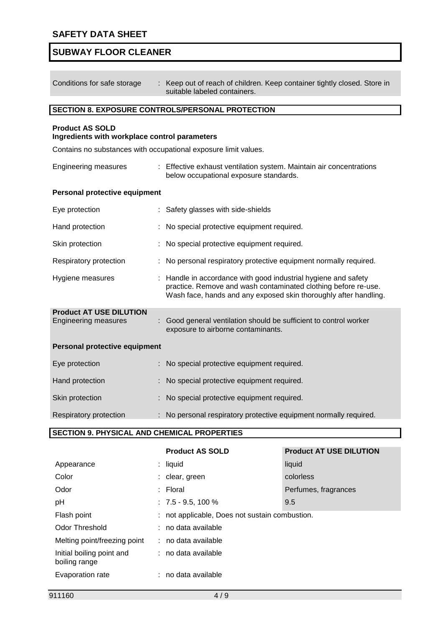$\overline{\phantom{a}}$ 

# **SUBWAY FLOOR CLEANER**

| Conditions for safe storage                                             | : Keep out of reach of children. Keep container tightly closed. Store in<br>suitable labeled containers.                                                                                             |  |
|-------------------------------------------------------------------------|------------------------------------------------------------------------------------------------------------------------------------------------------------------------------------------------------|--|
|                                                                         | SECTION 8. EXPOSURE CONTROLS/PERSONAL PROTECTION                                                                                                                                                     |  |
| <b>Product AS SOLD</b><br>Ingredients with workplace control parameters |                                                                                                                                                                                                      |  |
| Contains no substances with occupational exposure limit values.         |                                                                                                                                                                                                      |  |
| <b>Engineering measures</b>                                             | : Effective exhaust ventilation system. Maintain air concentrations<br>below occupational exposure standards.                                                                                        |  |
| Personal protective equipment                                           |                                                                                                                                                                                                      |  |
| Eye protection                                                          | Safety glasses with side-shields                                                                                                                                                                     |  |
| Hand protection                                                         | No special protective equipment required.                                                                                                                                                            |  |
| Skin protection                                                         | No special protective equipment required.                                                                                                                                                            |  |
| Respiratory protection                                                  | No personal respiratory protective equipment normally required.                                                                                                                                      |  |
| Hygiene measures                                                        | : Handle in accordance with good industrial hygiene and safety<br>practice. Remove and wash contaminated clothing before re-use.<br>Wash face, hands and any exposed skin thoroughly after handling. |  |
| <b>Product AT USE DILUTION</b><br><b>Engineering measures</b>           | : Good general ventilation should be sufficient to control worker<br>exposure to airborne contaminants.                                                                                              |  |
| <b>Personal protective equipment</b>                                    |                                                                                                                                                                                                      |  |
| Eye protection                                                          | No special protective equipment required.                                                                                                                                                            |  |
| Hand protection                                                         | No special protective equipment required.                                                                                                                                                            |  |
| Skin protection                                                         | No special protective equipment required.                                                                                                                                                            |  |
| Respiratory protection<br><b>CEOTION A BUVOIO 41</b>                    | No personal respiratory protective equipment normally required.<br>CULTIMO AL BROBERTIES                                                                                                             |  |

### **SECTION 9. PHYSICAL AND CHEMICAL PROPERTIES**

|                                            | <b>Product AS SOLD</b>                         | <b>Product AT USE DILUTION</b> |  |
|--------------------------------------------|------------------------------------------------|--------------------------------|--|
| Appearance                                 | $:$ liquid                                     | liquid                         |  |
| Color                                      | : clear, green                                 | colorless                      |  |
| Odor                                       | $:$ Floral                                     | Perfumes, fragrances           |  |
| pH                                         | $: 7.5 - 9.5, 100 \%$                          | 9.5                            |  |
| Flash point                                | : not applicable, Does not sustain combustion. |                                |  |
| Odor Threshold                             | : no data available                            |                                |  |
| Melting point/freezing point               | $:$ no data available                          |                                |  |
| Initial boiling point and<br>boiling range | : no data available                            |                                |  |
| Evaporation rate                           | : no data available                            |                                |  |
|                                            |                                                |                                |  |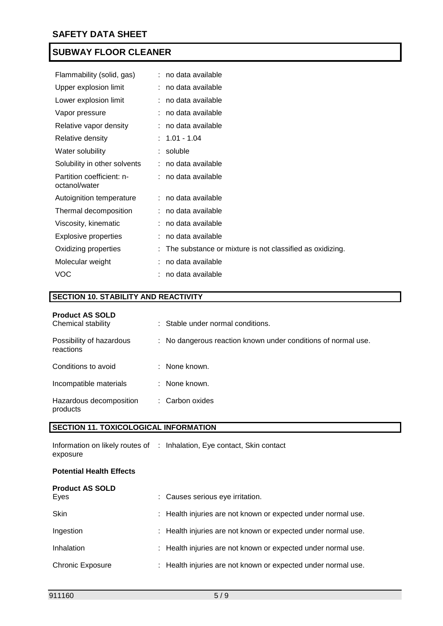| Flammability (solid, gas)                  | : no data available                                        |
|--------------------------------------------|------------------------------------------------------------|
| Upper explosion limit                      | : no data available                                        |
| Lower explosion limit                      | no data available                                          |
| Vapor pressure                             | no data available                                          |
| Relative vapor density                     | no data available                                          |
| Relative density                           | $: 1.01 - 1.04$                                            |
| Water solubility                           | soluble                                                    |
| Solubility in other solvents               | no data available                                          |
| Partition coefficient: n-<br>octanol/water | : no data available                                        |
| Autoignition temperature                   | : no data available                                        |
| Thermal decomposition                      | : no data available                                        |
| Viscosity, kinematic                       | no data available                                          |
| <b>Explosive properties</b>                | no data available                                          |
| Oxidizing properties                       | : The substance or mixture is not classified as oxidizing. |
| Molecular weight                           | no data available                                          |
| <b>VOC</b>                                 | no data available                                          |

## **SECTION 10. STABILITY AND REACTIVITY**

| <b>Product AS SOLD</b><br>Chemical stability | : Stable under normal conditions.                             |
|----------------------------------------------|---------------------------------------------------------------|
| Possibility of hazardous<br>reactions        | : No dangerous reaction known under conditions of normal use. |
| Conditions to avoid                          | : None known.                                                 |
| Incompatible materials                       | : None known.                                                 |
| Hazardous decomposition<br>products          | : Carbon oxides                                               |

## **SECTION 11. TOXICOLOGICAL INFORMATION**

|          | Information on likely routes of : Inhalation, Eye contact, Skin contact |
|----------|-------------------------------------------------------------------------|
| exposure |                                                                         |

## **Potential Health Effects**

| <b>Product AS SOLD</b><br>Eyes | : Causes serious eye irritation.                              |
|--------------------------------|---------------------------------------------------------------|
| <b>Skin</b>                    | : Health injuries are not known or expected under normal use. |
| Ingestion                      | : Health injuries are not known or expected under normal use. |
| Inhalation                     | : Health injuries are not known or expected under normal use. |
| <b>Chronic Exposure</b>        | : Health injuries are not known or expected under normal use. |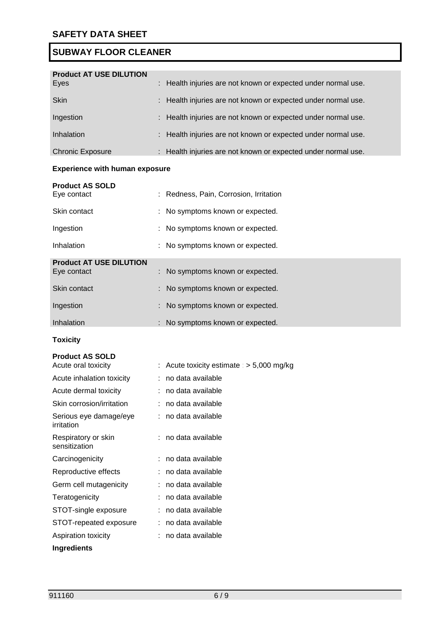| <b>Product AT USE DILUTION</b> |                                                               |
|--------------------------------|---------------------------------------------------------------|
| Eyes                           | : Health injuries are not known or expected under normal use. |
| <b>Skin</b>                    | : Health injuries are not known or expected under normal use. |
| Ingestion                      | : Health injuries are not known or expected under normal use. |
| Inhalation                     | : Health injuries are not known or expected under normal use. |
| <b>Chronic Exposure</b>        | : Health injuries are not known or expected under normal use. |

## **Experience with human exposure**

| <b>Product AS SOLD</b><br>Eye contact         | : Redness, Pain, Corrosion, Irritation |
|-----------------------------------------------|----------------------------------------|
| Skin contact                                  | : No symptoms known or expected.       |
| Ingestion                                     | : No symptoms known or expected.       |
| Inhalation                                    | : No symptoms known or expected.       |
| <b>Product AT USE DILUTION</b><br>Eye contact | : No symptoms known or expected.       |
| Skin contact                                  | : No symptoms known or expected.       |
| Ingestion                                     | : No symptoms known or expected.       |
| Inhalation                                    | : No symptoms known or expected.       |

## **Toxicity**

## **Product AS SOLD**

| Acute oral toxicity                  | : Acute toxicity estimate : $>$ 5,000 mg/kg |
|--------------------------------------|---------------------------------------------|
| Acute inhalation toxicity            | no data available                           |
| Acute dermal toxicity                | : no data available                         |
| Skin corrosion/irritation            | : no data available                         |
| Serious eye damage/eye<br>irritation | : no data available                         |
| Respiratory or skin<br>sensitization | : no data available                         |
| Carcinogenicity                      | : no data available                         |
| Reproductive effects                 | : no data available                         |
| Germ cell mutagenicity               | : no data available                         |
| Teratogenicity                       | no data available                           |
| STOT-single exposure                 | : no data available                         |
| STOT-repeated exposure               | : no data available                         |
| Aspiration toxicity                  | : no data available                         |
| Ingredients                          |                                             |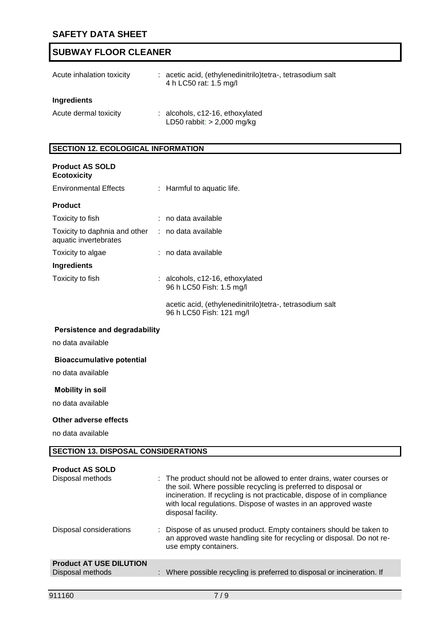| Acute inhalation toxicity | : acetic acid, (ethylenedinitrilo)tetra-, tetrasodium salt<br>4 h LC50 rat: 1.5 mg/l |
|---------------------------|--------------------------------------------------------------------------------------|
| Ingredients               |                                                                                      |
| Acute dermal toxicity     | $:$ alcohols, $c12-16$ , ethoxylated<br>LD50 rabbit: $> 2,000$ mg/kg                 |

## **SECTION 12. ECOLOGICAL INFORMATION**

| <b>Product AS SOLD</b><br><b>Ecotoxicity</b>                               |                                                                                      |
|----------------------------------------------------------------------------|--------------------------------------------------------------------------------------|
| <b>Environmental Effects</b>                                               | : Harmful to aquatic life.                                                           |
| <b>Product</b>                                                             |                                                                                      |
| Toxicity to fish                                                           | : no data available                                                                  |
| Toxicity to daphnia and other : no data available<br>aquatic invertebrates |                                                                                      |
| Toxicity to algae                                                          | : no data available                                                                  |
| <b>Ingredients</b>                                                         |                                                                                      |
| Toxicity to fish                                                           | : alcohols, c12-16, ethoxylated<br>96 h LC50 Fish: 1.5 mg/l                          |
|                                                                            | acetic acid, (ethylenedinitrilo)tetra-, tetrasodium salt<br>96 h LC50 Fish: 121 mg/l |

## **Persistence and degradability**

no data available

### **Bioaccumulative potential**

no data available

## **Mobility in soil**

no data available

#### **Other adverse effects**

no data available

## **SECTION 13. DISPOSAL CONSIDERATIONS**

| <b>Product AS SOLD</b><br>Disposal methods         | : The product should not be allowed to enter drains, water courses or<br>the soil. Where possible recycling is preferred to disposal or<br>incineration. If recycling is not practicable, dispose of in compliance<br>with local regulations. Dispose of wastes in an approved waste<br>disposal facility. |
|----------------------------------------------------|------------------------------------------------------------------------------------------------------------------------------------------------------------------------------------------------------------------------------------------------------------------------------------------------------------|
| Disposal considerations                            | : Dispose of as unused product. Empty containers should be taken to<br>an approved waste handling site for recycling or disposal. Do not re-<br>use empty containers.                                                                                                                                      |
| <b>Product AT USE DILUTION</b><br>Disposal methods | : Where possible recycling is preferred to disposal or incineration. If                                                                                                                                                                                                                                    |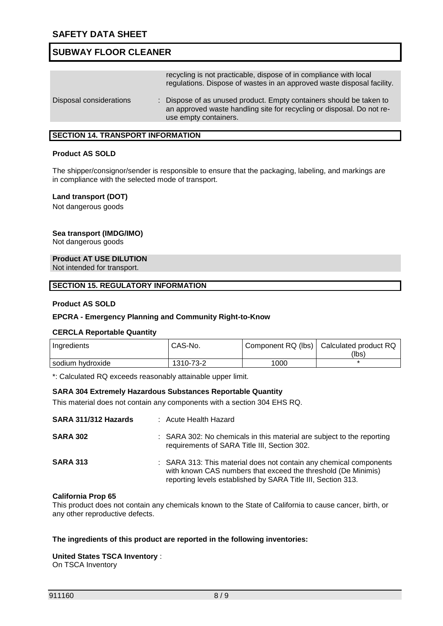|                         | recycling is not practicable, dispose of in compliance with local<br>regulations. Dispose of wastes in an approved waste disposal facility.                           |
|-------------------------|-----------------------------------------------------------------------------------------------------------------------------------------------------------------------|
| Disposal considerations | : Dispose of as unused product. Empty containers should be taken to<br>an approved waste handling site for recycling or disposal. Do not re-<br>use empty containers. |

### **SECTION 14. TRANSPORT INFORMATION**

### **Product AS SOLD**

The shipper/consignor/sender is responsible to ensure that the packaging, labeling, and markings are in compliance with the selected mode of transport.

#### **Land transport (DOT)**

Not dangerous goods

### **Sea transport (IMDG/IMO)**

Not dangerous goods

#### **Product AT USE DILUTION**

Not intended for transport.

#### **SECTION 15. REGULATORY INFORMATION**

#### **Product AS SOLD**

#### **EPCRA - Emergency Planning and Community Right-to-Know**

#### **CERCLA Reportable Quantity**

| Ingredients      | CAS-No.   |      | Component RQ (lbs)   Calculated product RQ |
|------------------|-----------|------|--------------------------------------------|
|                  |           |      | (lbs)                                      |
| sodium hydroxide | 1310-73-2 | 1000 |                                            |

\*: Calculated RQ exceeds reasonably attainable upper limit.

#### **SARA 304 Extremely Hazardous Substances Reportable Quantity**

This material does not contain any components with a section 304 EHS RQ.

| SARA 311/312 Hazards | : Acute Health Hazard                                                                                                                                                                               |
|----------------------|-----------------------------------------------------------------------------------------------------------------------------------------------------------------------------------------------------|
| <b>SARA 302</b>      | : SARA 302: No chemicals in this material are subject to the reporting<br>requirements of SARA Title III, Section 302.                                                                              |
| <b>SARA 313</b>      | : SARA 313: This material does not contain any chemical components<br>with known CAS numbers that exceed the threshold (De Minimis)<br>reporting levels established by SARA Title III, Section 313. |

#### **California Prop 65**

This product does not contain any chemicals known to the State of California to cause cancer, birth, or any other reproductive defects.

### **The ingredients of this product are reported in the following inventories:**

## **United States TSCA Inventory** :

On TSCA Inventory